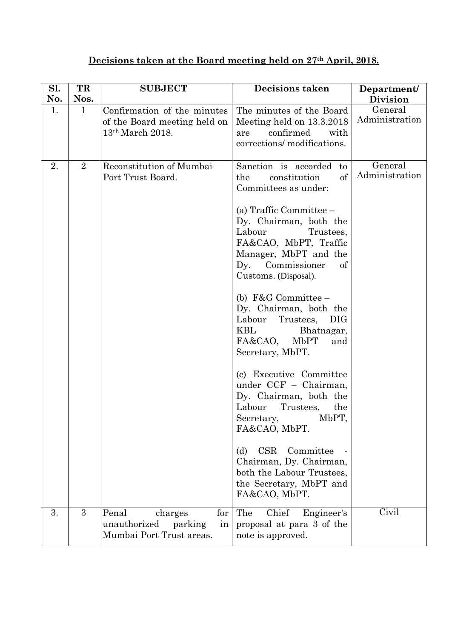## **Decisions taken at the Board meeting held on 27th April, 2018.**

| Sl.       | TR                   | <b>SUBJECT</b>                                                                              | Decisions taken                                                                                                                                                                                                                                                                                                                                                                                                                                                                                                                                                                                                                                                                                                                   | Department/                                  |
|-----------|----------------------|---------------------------------------------------------------------------------------------|-----------------------------------------------------------------------------------------------------------------------------------------------------------------------------------------------------------------------------------------------------------------------------------------------------------------------------------------------------------------------------------------------------------------------------------------------------------------------------------------------------------------------------------------------------------------------------------------------------------------------------------------------------------------------------------------------------------------------------------|----------------------------------------------|
| No.<br>1. | Nos.<br>$\mathbf{1}$ | Confirmation of the minutes<br>of the Board meeting held on<br>13 <sup>th</sup> March 2018. | The minutes of the Board<br>Meeting held on 13.3.2018<br>confirmed<br>with<br>are<br>corrections/modifications.                                                                                                                                                                                                                                                                                                                                                                                                                                                                                                                                                                                                                   | <b>Division</b><br>General<br>Administration |
| 2.        | $\overline{2}$       | Reconstitution of Mumbai<br>Port Trust Board.                                               | Sanction is accorded<br>to<br><sub>of</sub><br>the<br>constitution<br>Committees as under:<br>(a) Traffic Committee $-$<br>Dy. Chairman, both the<br>Labour<br>Trustees,<br>FA&CAO, MbPT, Traffic<br>Manager, MbPT and the<br>Dy. Commissioner<br>of<br>Customs. (Disposal).<br>(b) $F&G$ Committee –<br>Dy. Chairman, both the<br>Labour<br>Trustees,<br><b>DIG</b><br>KBL<br>Bhatnagar,<br>FA&CAO,<br>MbPT<br>and<br>Secretary, MbPT.<br>(c) Executive Committee<br>under CCF - Chairman,<br>Dy. Chairman, both the<br>Labour<br>Trustees,<br>the<br>MbPT,<br>Secretary,<br>FA&CAO, MbPT.<br><b>CSR</b><br>Committee<br>(d)<br>Chairman, Dy. Chairman,<br>both the Labour Trustees,<br>the Secretary, MbPT and<br>FA&CAO, MbPT. | General<br>Administration                    |
| 3.        | 3                    | Penal<br>for<br>charges<br>unauthorized<br>parking<br>in<br>Mumbai Port Trust areas.        | Chief<br>The<br>Engineer's<br>proposal at para 3 of the<br>note is approved.                                                                                                                                                                                                                                                                                                                                                                                                                                                                                                                                                                                                                                                      | Civil                                        |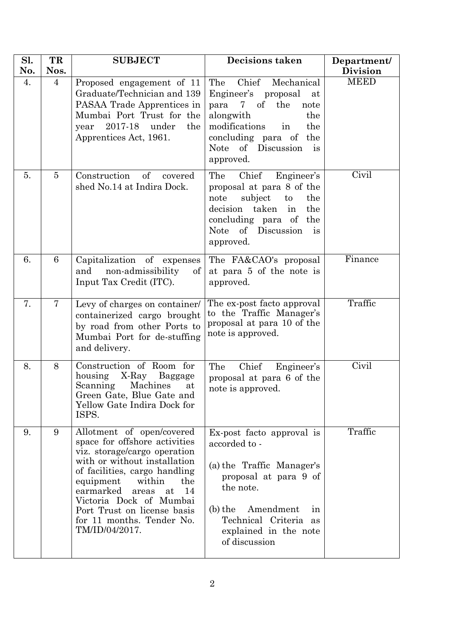| Sl.<br>No. | TR<br>Nos.     | <b>SUBJECT</b>                                                                                                                                                                                                                                                                                                                       | <b>Decisions taken</b>                                                                                                                                                                                                   | Department/<br><b>Division</b> |
|------------|----------------|--------------------------------------------------------------------------------------------------------------------------------------------------------------------------------------------------------------------------------------------------------------------------------------------------------------------------------------|--------------------------------------------------------------------------------------------------------------------------------------------------------------------------------------------------------------------------|--------------------------------|
| 4.         | $\overline{4}$ | Proposed engagement of 11<br>Graduate/Technician and 139<br>PASAA Trade Apprentices in<br>Mumbai Port Trust for the<br>2017-18<br>the<br>under<br>year<br>Apprentices Act, 1961.                                                                                                                                                     | Chief<br>Mechanical<br>The<br>Engineer's<br>proposal<br>at<br>of<br>$7 -$<br>the<br>para<br>note<br>alongwith<br>the<br>modifications<br>the<br>in<br>concluding para of<br>the<br>Note of Discussion<br>is<br>approved. | <b>MEED</b>                    |
| 5.         | $\overline{5}$ | Construction<br>of<br>covered<br>shed No.14 at Indira Dock.                                                                                                                                                                                                                                                                          | Chief<br>Engineer's<br>The<br>proposal at para 8 of the<br>subject<br>the<br>note<br>to<br>decision<br>taken<br>the<br>in<br>concluding para of the<br><b>Note</b><br>of Discussion<br>is<br>approved.                   | Civil                          |
| 6.         | 6              | Capitalization of expenses<br>non-admissibility<br>$\mathrm{of}$<br>and<br>Input Tax Credit (ITC).                                                                                                                                                                                                                                   | The FA&CAO's proposal<br>at para 5 of the note is<br>approved.                                                                                                                                                           | Finance                        |
| 7.         | 7              | Levy of charges on container/<br>containerized cargo brought<br>by road from other Ports to<br>Mumbai Port for de-stuffing<br>and delivery.                                                                                                                                                                                          | The ex-post facto approval<br>to the Traffic Manager's<br>proposal at para 10 of the<br>note is approved.                                                                                                                | Traffic                        |
| 8.         | 8              | Construction of Room for<br>housing<br>X-Ray<br>Baggage<br>Machines<br>Scanning<br>at<br>Green Gate, Blue Gate and<br>Yellow Gate Indira Dock for<br>ISPS.                                                                                                                                                                           | Chief<br>The<br>Engineer's<br>proposal at para 6 of the<br>note is approved.                                                                                                                                             | $\overline{\text{Civil}}$      |
| 9.         | 9              | Allotment of open/covered<br>space for offshore activities<br>viz. storage/cargo operation<br>with or without installation<br>of facilities, cargo handling<br>equipment<br>within<br>the<br>earmarked<br>14<br>areas<br>at<br>Victoria Dock of Mumbai<br>Port Trust on license basis<br>for 11 months. Tender No.<br>TM/ID/04/2017. | Ex-post facto approval is<br>accorded to -<br>(a) the Traffic Manager's<br>proposal at para 9 of<br>the note.<br>Amendment<br>$(b)$ the<br>in<br>Technical Criteria as<br>explained in the note<br>of discussion         | Traffic                        |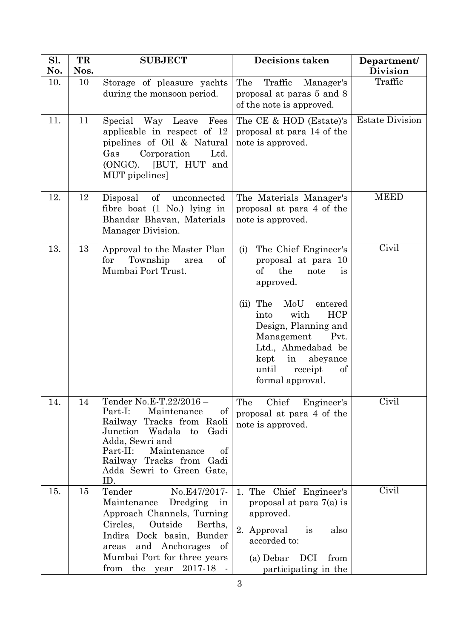| Sl. | TR   | <b>SUBJECT</b>                                                                                                                                                                                                                                | <b>Decisions taken</b>                                                                                                                                                 | Department/            |
|-----|------|-----------------------------------------------------------------------------------------------------------------------------------------------------------------------------------------------------------------------------------------------|------------------------------------------------------------------------------------------------------------------------------------------------------------------------|------------------------|
| No. | Nos. |                                                                                                                                                                                                                                               |                                                                                                                                                                        | <b>Division</b>        |
| 10. | 10   | Storage of pleasure yachts<br>during the monsoon period.                                                                                                                                                                                      | Traffic<br>The<br>Manager's<br>proposal at paras 5 and 8<br>of the note is approved.                                                                                   | Traffic                |
| 11. | 11   | Special<br>Way Leave<br>Fees<br>applicable in respect of 12<br>pipelines of Oil & Natural<br>Gas<br>Corporation<br>Ltd.<br>(ONGC). [BUT, HUT and<br>MUT pipelines]                                                                            | The CE & HOD (Estate)'s<br>proposal at para 14 of the<br>note is approved.                                                                                             | <b>Estate Division</b> |
| 12. | 12   | of<br>Disposal<br>unconnected<br>fibre boat $(1 \text{ No.})$ lying in<br>Bhandar Bhavan, Materials<br>Manager Division.                                                                                                                      | The Materials Manager's<br>proposal at para 4 of the<br>note is approved.                                                                                              | <b>MEED</b>            |
| 13. | 13   | Approval to the Master Plan<br>Township<br>for<br>of<br>area<br>Mumbai Port Trust.                                                                                                                                                            | The Chief Engineer's<br>(i)<br>proposal at para 10<br>of<br>the<br>note<br>is<br>approved.<br>The<br>MoU<br>entered<br>(ii)                                            | Civil                  |
|     |      |                                                                                                                                                                                                                                               | <b>HCP</b><br>with<br>into<br>Design, Planning and<br>Management<br>Pvt.<br>Ltd., Ahmedabad be<br>kept<br>in<br>abeyance<br>until<br>receipt<br>of<br>formal approval. |                        |
| 14. | 14   | Tender No.E-T.22/2016-<br>Part-I:<br>Maintenance<br>of<br>Railway Tracks from Raoli<br>Junction Wadala<br>to<br>Gadi<br>Adda, Sewri and<br>Part-II:<br>Maintenance<br>of<br>Railway Tracks from Gadi<br>Adda Sewri to Green Gate,<br>ID.      | The<br>Chief<br>Engineer's<br>proposal at para 4 of the<br>note is approved.                                                                                           | Civil                  |
| 15. | 15   | Tender<br>No.E47/2017-<br>Maintenance<br>Dredging<br>in<br>Approach Channels, Turning<br>Circles, Outside<br>Berths,<br>Indira Dock basin, Bunder<br>and Anchorages of<br>areas<br>Mumbai Port for three years<br>the year<br>2017-18<br>from | 1. The Chief Engineer's<br>proposal at para 7(a) is<br>approved.<br>2. Approval<br>is<br>also<br>accorded to:<br>DCI<br>(a) Debar<br>from<br>participating in the      | Civil                  |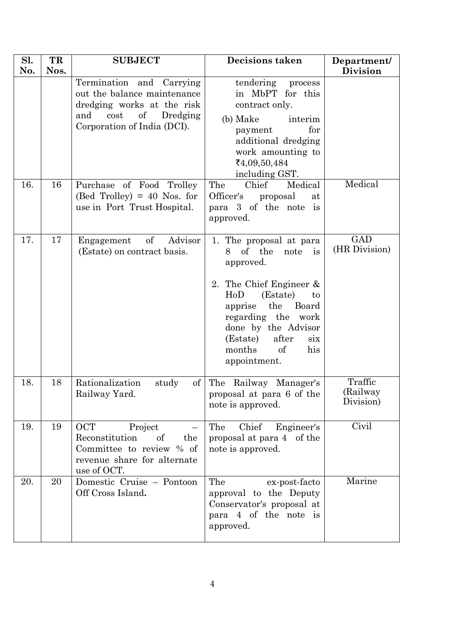| Sl.<br>No. | TR<br>Nos. | <b>SUBJECT</b>                                                                                                                                                | <b>Decisions taken</b>                                                                                                                                                                                                                                            | Department/                       |
|------------|------------|---------------------------------------------------------------------------------------------------------------------------------------------------------------|-------------------------------------------------------------------------------------------------------------------------------------------------------------------------------------------------------------------------------------------------------------------|-----------------------------------|
|            |            | Termination and Carrying<br>out the balance maintenance<br>dredging works at the risk<br>$\sigma f$<br>cost<br>Dredging<br>and<br>Corporation of India (DCI). | tendering process<br>in MbPT for this<br>contract only.<br>(b) Make<br>interim<br>for<br>payment<br>additional dredging<br>work amounting to<br>₹4,09,50,484<br>including GST.                                                                                    | <b>Division</b>                   |
| 16.        | 16         | Purchase of Food Trolley<br>$(Bed Trolley) = 40$ Nos. for<br>use in Port Trust Hospital.                                                                      | Chief<br>Medical<br>The<br>Officer's<br>proposal<br>at<br>para 3 of the note is<br>approved.                                                                                                                                                                      | Medical                           |
| 17.        | 17         | $\mathrm{of}$<br>Advisor<br>Engagement<br>(Estate) on contract basis.                                                                                         | 1. The proposal at para<br>of the<br>8<br>note is<br>approved.<br>2. The Chief Engineer &<br>(Estate)<br>HoD<br>to<br>apprise the Board<br>regarding the work<br>done by the Advisor<br>after<br>(Estate)<br>$\dot{\rm s}$<br>months<br>of<br>his<br>appointment. | <b>GAD</b><br>(HR Division)       |
| 18.        | 18         | Rationalization<br>study<br>Railway Yard.                                                                                                                     | of The Railway Manager's<br>proposal at para 6 of the<br>note is approved.                                                                                                                                                                                        | Traffic<br>(Railway)<br>Division) |
| 19.        | 19         | <b>OCT</b><br>Project<br>Reconstitution<br>of<br>the<br>Committee to review % of<br>revenue share for alternate<br>use of OCT.                                | Chief<br>Engineer's<br>The<br>proposal at para 4 of the<br>note is approved.                                                                                                                                                                                      | Civil                             |
| 20.        | 20         | Domestic Cruise - Pontoon<br>Off Cross Island.                                                                                                                | The<br>ex-post-facto<br>approval to the Deputy<br>Conservator's proposal at<br>para 4 of the note is<br>approved.                                                                                                                                                 | Marine                            |